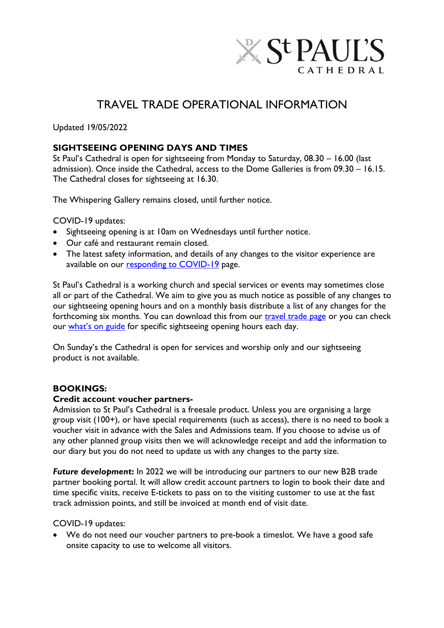

# TRAVEL TRADE OPERATIONAL INFORMATION

Updated 19/05/2022

## **SIGHTSEEING OPENING DAYS AND TIMES**

St Paul's Cathedral is open for sightseeing from Monday to Saturday, 08.30 – 16.00 (last admission). Once inside the Cathedral, access to the Dome Galleries is from 09.30 – 16.15. The Cathedral closes for sightseeing at 16.30.

The Whispering Gallery remains closed, until further notice.

COVID-19 updates:

- Sightseeing opening is at 10am on Wednesdays until further notice.
- Our café and restaurant remain closed.
- The latest safety information, and details of any changes to the visitor experience are available on our [responding to COVID-19](https://www.stpauls.co.uk/responding-to-covid-19) page.

St Paul's Cathedral is a working church and special services or events may sometimes close all or part of the Cathedral. We aim to give you as much notice as possible of any changes to our sightseeing opening hours and on a monthly basis distribute a list of any changes for the forthcoming six months. You can download this from our *travel trade page* or you can check our what['s on guide](https://www.stpauls.co.uk/whats-on) for specific sightseeing opening hours each day.

On Sunday's the Cathedral is open for services and worship only and our sightseeing product is not available.

## **BOOKINGS:**

#### **Credit account voucher partners-**

Admission to St Paul's Cathedral is a freesale product. Unless you are organising a large group visit (100+), or have special requirements (such as access), there is no need to book a voucher visit in advance with the Sales and Admissions team. If you choose to advise us of any other planned group visits then we will acknowledge receipt and add the information to our diary but you do not need to update us with any changes to the party size.

*Future development*: In 2022 we will be introducing our partners to our new B2B trade partner booking portal. It will allow credit account partners to login to book their date and time specific visits, receive E-tickets to pass on to the visiting customer to use at the fast track admission points, and still be invoiced at month end of visit date.

COVID-19 updates:

 We do not need our voucher partners to pre-book a timeslot. We have a good safe onsite capacity to use to welcome all visitors.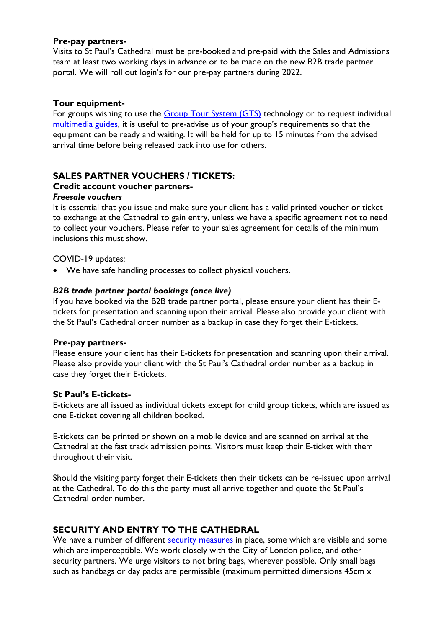#### **Pre-pay partners-**

Visits to St Paul's Cathedral must be pre-booked and pre-paid with the Sales and Admissions team at least two working days in advance or to be made on the new B2B trade partner portal. We will roll out login's for our pre-pay partners during 2022.

## **Tour equipment-**

For groups wishing to use the [Group Tour System \(GTS\)](https://www.stpauls.co.uk/guided-and-self-guided-tours) technology or to request individual [multimedia guides,](https://www.stpauls.co.uk/guided-and-self-guided-tours) it is useful to pre-advise us of your group's requirements so that the equipment can be ready and waiting. It will be held for up to 15 minutes from the advised arrival time before being released back into use for others.

# **SALES PARTNER VOUCHERS / TICKETS:**

## **Credit account voucher partners-**

#### *Freesale vouchers*

It is essential that you issue and make sure your client has a valid printed voucher or ticket to exchange at the Cathedral to gain entry, unless we have a specific agreement not to need to collect your vouchers. Please refer to your sales agreement for details of the minimum inclusions this must show.

## COVID-19 updates:

We have safe handling processes to collect physical vouchers.

## *B2B trade partner portal bookings (once live)*

If you have booked via the B2B trade partner portal, please ensure your client has their Etickets for presentation and scanning upon their arrival. Please also provide your client with the St Paul's Cathedral order number as a backup in case they forget their E-tickets.

#### **Pre-pay partners-**

Please ensure your client has their E-tickets for presentation and scanning upon their arrival. Please also provide your client with the St Paul's Cathedral order number as a backup in case they forget their E-tickets.

#### **St Paul's E-tickets-**

E-tickets are all issued as individual tickets except for child group tickets, which are issued as one E-ticket covering all children booked.

E-tickets can be printed or shown on a mobile device and are scanned on arrival at the Cathedral at the fast track admission points. Visitors must keep their E-ticket with them throughout their visit.

Should the visiting party forget their E-tickets then their tickets can be re-issued upon arrival at the Cathedral. To do this the party must all arrive together and quote the St Paul's Cathedral order number.

## **SECURITY AND ENTRY TO THE CATHEDRAL**

We have a number of different [security measures](https://www.stpauls.co.uk/safety-and-security) in place, some which are visible and some which are imperceptible. We work closely with the City of London police, and other security partners. We urge visitors to not bring bags, wherever possible. Only small bags such as handbags or day packs are permissible (maximum permitted dimensions 45cm x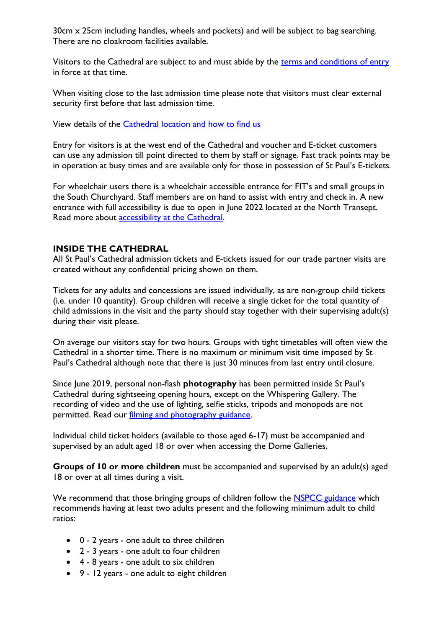30cm x 25cm including handles, wheels and pockets) and will be subject to bag searching. There are no cloakroom facilities available.

Visitors to the Cathedral are subject to and must abide by the terms and [conditions of entry](https://www.stpauls.co.uk/terms-and-conditions-for-entry) in force at that time.

When visiting close to the last admission time please note that visitors must clear external security first before that last admission time.

View details of the [Cathedral location and how to find us](https://www.stpauls.co.uk/how-to-find-us)

Entry for visitors is at the west end of the Cathedral and voucher and E-ticket customers can use any admission till point directed to them by staff or signage. Fast track points may be in operation at busy times and are available only for those in possession of St Paul's E-tickets.

For wheelchair users there is a wheelchair accessible entrance for FIT's and small groups in the South Churchyard. Staff members are on hand to assist with entry and check in. A new entrance with full accessibility is due to open in June 2022 located at the North Transept. Read more about **accessibility at the Cathedral**.

## **INSIDE THE CATHEDRAL**

All St Paul's Cathedral admission tickets and E-tickets issued for our trade partner visits are created without any confidential pricing shown on them.

Tickets for any adults and concessions are issued individually, as are non-group child tickets (i.e. under 10 quantity). Group children will receive a single ticket for the total quantity of child admissions in the visit and the party should stay together with their supervising adult(s) during their visit please.

On average our visitors stay for two hours. Groups with tight timetables will often view the Cathedral in a shorter time. There is no maximum or minimum visit time imposed by St Paul's Cathedral although note that there is just 30 minutes from last entry until closure.

Since June 2019, personal non-flash **photography** has been permitted inside St Paul's Cathedral during sightseeing opening hours, except on the Whispering Gallery. The recording of video and the use of lighting, selfie sticks, tripods and monopods are not permitted. Read our [filming and photography guidance.](https://www.stpauls.co.uk/filming-and-photography)

Individual child ticket holders (available to those aged 6-17) must be accompanied and supervised by an adult aged 18 or over when accessing the Dome Galleries.

**Groups of 10 or more children** must be accompanied and supervised by an adult(s) aged 18 or over at all times during a visit.

We recommend that those bringing groups of children follow the **NSPCC** guidance which recommends having at least two adults present and the following minimum adult to child ratios:

- 0 2 years one adult to three children
- 2 3 years one adult to four children
- 4 8 years one adult to six children
- 9 12 years one adult to eight children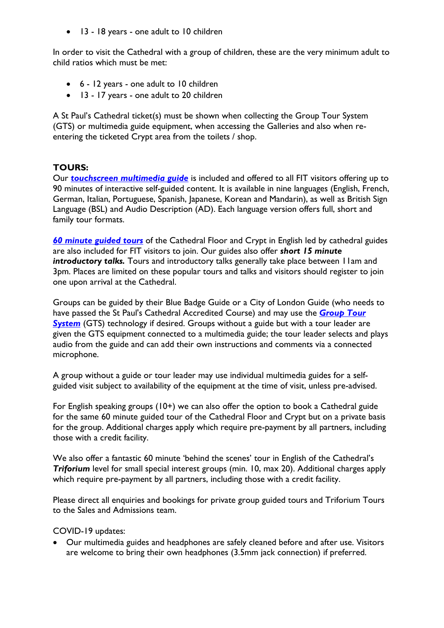• 13 - 18 years - one adult to 10 children

In order to visit the Cathedral with a group of children, these are the very minimum adult to child ratios which must be met:

- 6 12 years one adult to 10 children
- 13 17 years one adult to 20 children

A St Paul's Cathedral ticket(s) must be shown when collecting the Group Tour System (GTS) or multimedia guide equipment, when accessing the Galleries and also when reentering the ticketed Crypt area from the toilets / shop.

## **TOURS:**

Our *touchscreen [multimedia guide](https://www.stpauls.co.uk/guided-and-self-guided-tours)* is included and offered to all FIT visitors offering up to 90 minutes of interactive self-guided content. It is available in nine languages (English, French, German, Italian, Portuguese, Spanish, Japanese, Korean and Mandarin), as well as British Sign Language (BSL) and Audio Description (AD). Each language version offers full, short and family tour formats.

*[60 minute guided tours](https://www.stpauls.co.uk/guided-and-self-guided-tours)* of the Cathedral Floor and Crypt in English led by cathedral guides are also included for FIT visitors to join. Our guides also offer *short 15 minute*  introductory talks. Tours and introductory talks generally take place between I lam and 3pm. Places are limited on these popular tours and talks and visitors should register to join one upon arrival at the Cathedral.

Groups can be guided by their Blue Badge Guide or a City of London Guide (who needs to have passed the St Paul's Cathedral Accredited Course) and may use the *[Group Tour](https://www.stpauls.co.uk/group-visits)*  **[System](https://www.stpauls.co.uk/group-visits)** (GTS) technology if desired. Groups without a guide but with a tour leader are given the GTS equipment connected to a multimedia guide; the tour leader selects and plays audio from the guide and can add their own instructions and comments via a connected microphone.

A group without a guide or tour leader may use individual multimedia guides for a selfguided visit subject to availability of the equipment at the time of visit, unless pre-advised.

For English speaking groups (10+) we can also offer the option to book a Cathedral guide for the same 60 minute guided tour of the Cathedral Floor and Crypt but on a private basis for the group. Additional charges apply which require pre-payment by all partners, including those with a credit facility.

We also offer a fantastic 60 minute 'behind the scenes' tour in English of the Cathedral's *Triforium* level for small special interest groups (min. 10, max 20). Additional charges apply which require pre-payment by all partners, including those with a credit facility.

Please direct all enquiries and bookings for private group guided tours and Triforium Tours to the Sales and Admissions team.

COVID-19 updates:

 Our multimedia guides and headphones are safely cleaned before and after use. Visitors are welcome to bring their own headphones (3.5mm jack connection) if preferred.